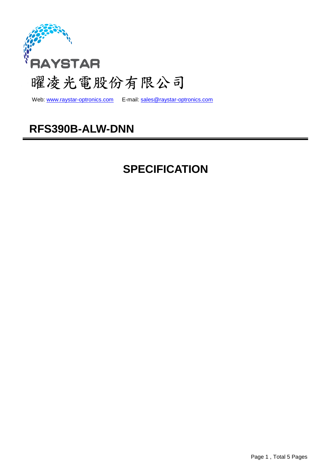

web: www.raystar-optronics.com E-mail: sales@raystar-optronics.com

## **RFS390B-ALW-DNN**

# **SPECIFICATION**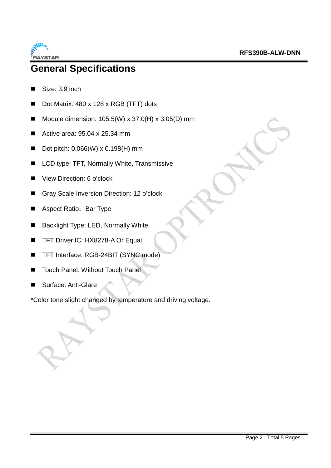

### **General Specifications**

- Size: 3.9 inch
- Dot Matrix: 480 x 128 x RGB (TFT) dots
- Module dimension:  $105.5(W) \times 37.0(H) \times 3.05(D)$  mm
- Active area:  $95.04 \times 25.34 \text{ mm}$
- Dot pitch:  $0.066(W) \times 0.198(H)$  mm
- LCD type: TFT, Normally White, Transmissive
- View Direction: 6 o'clock
- Gray Scale Inversion Direction: 12 o'clock
- Aspect Ratio: Bar Type
- Backlight Type: LED, Normally White
- TFT Driver IC: HX8278-A Or Equal
- TFT Interface: RGB-24BIT (SYNC mode)
- Touch Panel: Without Touch Panel
- Surface: Anti-Glare

\*Color tone slight changed by temperature and driving voltage.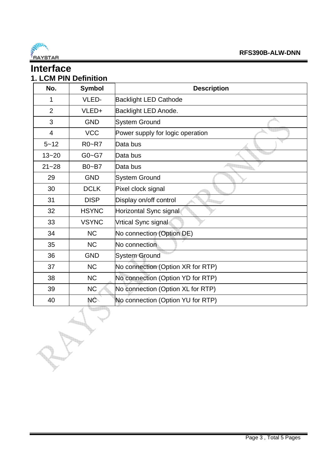

#### **Interface 1. LCM PIN Definition**

| No.            | <b>Symbol</b> | <b>Description</b>                |  |  |  |
|----------------|---------------|-----------------------------------|--|--|--|
| 1              | VLED-         | <b>Backlight LED Cathode</b>      |  |  |  |
| $\overline{2}$ | VLED+         | Backlight LED Anode.              |  |  |  |
| 3              | <b>GND</b>    | <b>System Ground</b>              |  |  |  |
| 4              | <b>VCC</b>    | Power supply for logic operation  |  |  |  |
| $5 - 12$       | <b>R0~R7</b>  | Data bus                          |  |  |  |
| $13 - 20$      | $G0 - G7$     | Data bus                          |  |  |  |
| $21 - 28$      | $B0 - B7$     | Data bus                          |  |  |  |
| 29             | <b>GND</b>    | <b>System Ground</b>              |  |  |  |
| 30             | <b>DCLK</b>   | Pixel clock signal                |  |  |  |
| 31             | <b>DISP</b>   | Display on/off control            |  |  |  |
| 32             | <b>HSYNC</b>  | Horizontal Sync signal            |  |  |  |
| 33             | <b>VSYNC</b>  | Vrtical Sync signal               |  |  |  |
| 34             | <b>NC</b>     | No connection (Option DE)         |  |  |  |
| 35             | <b>NC</b>     | No connection                     |  |  |  |
| 36             | <b>GND</b>    | <b>System Ground</b>              |  |  |  |
| 37             | <b>NC</b>     | No connection (Option XR for RTP) |  |  |  |
| 38             | <b>NC</b>     | No connection (Option YD for RTP) |  |  |  |
| 39             | <b>NC</b>     | No connection (Option XL for RTP) |  |  |  |
| 40             | NC            | No connection (Option YU for RTP) |  |  |  |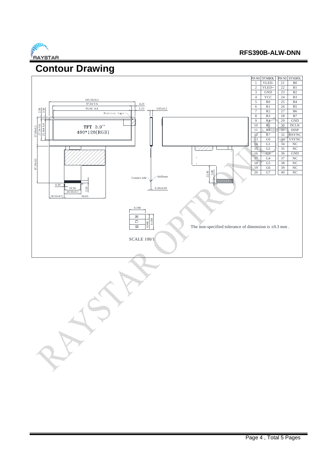

#### **RFS390B-ALW-DNN**